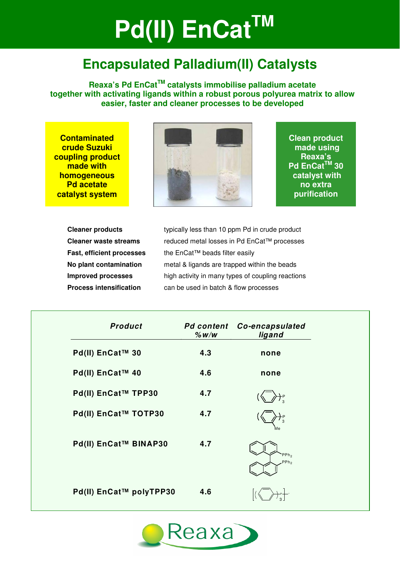# **Pd(II) EnCat<sup>™</sup>**

## **Encapsulated Palladium(II) Catalysts**

**Reaxa's Pd EnCatTM catalysts immobilise palladium acetate together with activating ligands within a robust porous polyurea matrix to allow easier, faster and cleaner processes to be developed** 

**Contaminated crude Suzuki coupling product made with homogeneous Pd acetate catalyst system** 



**Clean product made using Reaxa's Pd EnCatTM 30 catalyst with no extra purification** 

**Cleaner products** typically less than 10 ppm Pd in crude product **Cleaner waste streams** reduced metal losses in Pd EnCat™ processes **Fast, efficient processes** the EnCat™ beads filter easily **No plant contamination** metal & ligands are trapped within the beads **Improved processes** high activity in many types of coupling reactions **Process intensification can be used in batch & flow processes** 

| <b>Product</b>          | $%$ W/W | <b>Pd content Co-encapsulated</b><br>ligand     |
|-------------------------|---------|-------------------------------------------------|
| Pd(II) EnCat™ 30        | 4.3     | none                                            |
| Pd(II) EnCat™ 40        | 4.6     | none                                            |
| Pd(II) EnCat™ TPP30     | 4.7     |                                                 |
| Pd(II) EnCat™ TOTP30    | 4.7     | Мe                                              |
| Pd(II) EnCat™ BINAP30   | 4.7     | PPh <sub>2</sub><br>PP <sub>h<sub>2</sub></sub> |
| Pd(II) EnCat™ polyTPP30 | 4.6     |                                                 |